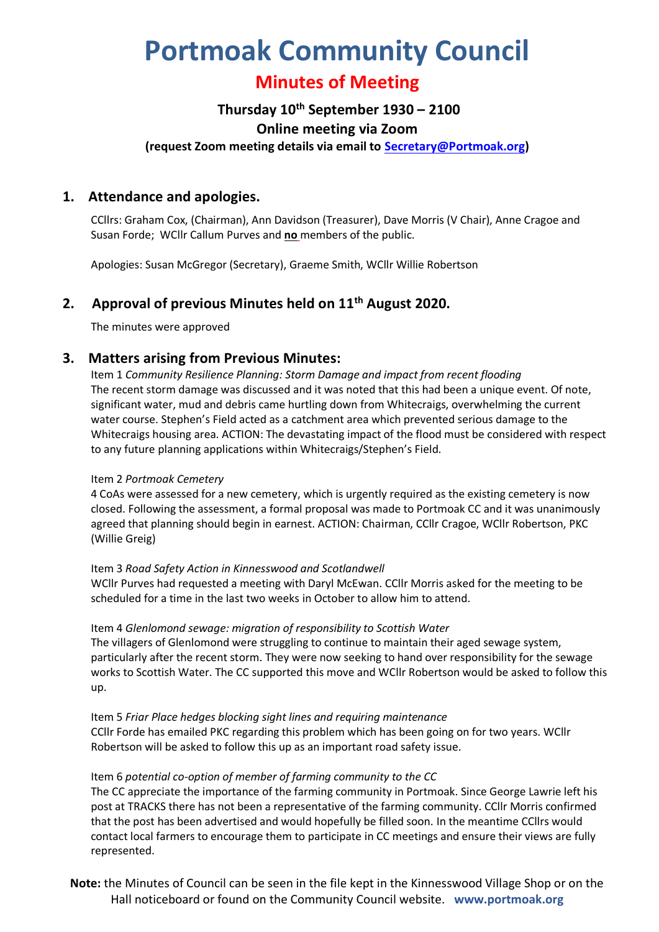# **Portmoak Community Council**

## **Minutes of Meeting**

## **Thursday 10th September 1930 – 2100**

#### **Online meeting via Zoom**

**(request Zoom meeting details via email to [Secretary@Portmoak.org\)](mailto:Secretary@Portmoak.org)**

## **1. Attendance and apologies.**

CCllrs: Graham Cox, (Chairman), Ann Davidson (Treasurer), Dave Morris (V Chair), Anne Cragoe and Susan Forde; WCllr Callum Purves and **no** members of the public.

Apologies: Susan McGregor (Secretary), Graeme Smith, WCllr Willie Robertson

## **2. Approval of previous Minutes held on 11th August 2020.**

The minutes were approved

## **3. Matters arising from Previous Minutes:**

Item 1 *Community Resilience Planning: Storm Damage and impact from recent flooding* The recent storm damage was discussed and it was noted that this had been a unique event. Of note, significant water, mud and debris came hurtling down from Whitecraigs, overwhelming the current water course. Stephen's Field acted as a catchment area which prevented serious damage to the Whitecraigs housing area. ACTION: The devastating impact of the flood must be considered with respect to any future planning applications within Whitecraigs/Stephen's Field.

#### Item 2 *Portmoak Cemetery*

4 CoAs were assessed for a new cemetery, which is urgently required as the existing cemetery is now closed. Following the assessment, a formal proposal was made to Portmoak CC and it was unanimously agreed that planning should begin in earnest. ACTION: Chairman, CCllr Cragoe, WCllr Robertson, PKC (Willie Greig)

#### Item 3 *Road Safety Action in Kinnesswood and Scotlandwell*

WCllr Purves had requested a meeting with Daryl McEwan. CCllr Morris asked for the meeting to be scheduled for a time in the last two weeks in October to allow him to attend.

#### Item 4 *Glenlomond sewage: migration of responsibility to Scottish Water*

The villagers of Glenlomond were struggling to continue to maintain their aged sewage system, particularly after the recent storm. They were now seeking to hand over responsibility for the sewage works to Scottish Water. The CC supported this move and WCllr Robertson would be asked to follow this up.

#### Item 5 *Friar Place hedges blocking sight lines and requiring maintenance*

CCllr Forde has emailed PKC regarding this problem which has been going on for two years. WCllr Robertson will be asked to follow this up as an important road safety issue.

#### Item 6 *potential co-option of member of farming community to the CC*

The CC appreciate the importance of the farming community in Portmoak. Since George Lawrie left his post at TRACKS there has not been a representative of the farming community. CCllr Morris confirmed that the post has been advertised and would hopefully be filled soon. In the meantime CCllrs would contact local farmers to encourage them to participate in CC meetings and ensure their views are fully represented.

**Note:** the Minutes of Council can be seen in the file kept in the Kinnesswood Village Shop or on the Hall noticeboard or found on the Community Council website. **www.portmoak.org**